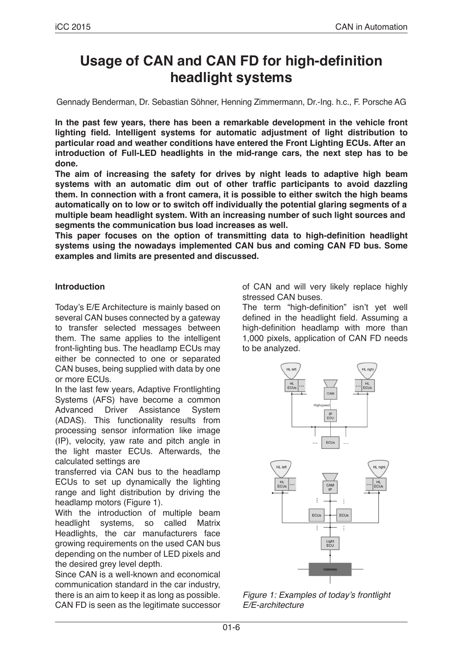# **Usage of CAN and CAN FD for high-definition headlight systems**

Gennady Benderman, Dr. Sebastian Söhner, Henning Zimmermann, Dr.-Ing. h.c., F. Porsche AG

**In the past few years, there has been a remarkable development in the vehicle front lighting field. Intelligent systems for automatic adjustment of light distribution to particular road and weather conditions have entered the Front Lighting ECUs. After an introduction of Full-LED headlights in the mid-range cars, the next step has to be done.**

**The aim of increasing the safety for drives by night leads to adaptive high beam systems with an automatic dim out of other traffic participants to avoid dazzling them. In connection with a front camera, it is possible to either switch the high beams automatically on to low or to switch off individually the potential glaring segments of a multiple beam headlight system. With an increasing number of such light sources and segments the communication bus load increases as well.**

**This paper focuses on the option of transmitting data to high-definition headlight systems using the nowadays implemented CAN bus and coming CAN FD bus. Some examples and limits are presented and discussed.**

## **Introduction**

Today's E/E Architecture is mainly based on several CAN buses connected by a gateway to transfer selected messages between them. The same applies to the intelligent front-lighting bus. The headlamp ECUs may either be connected to one or separated CAN buses, being supplied with data by one or more ECUs.

In the last few years, Adaptive Frontlighting Systems (AFS) have become a common Advanced Driver Assistance System (ADAS). This functionality results from processing sensor information like image (IP), velocity, yaw rate and pitch angle in the light master ECUs. Afterwards, the calculated settings are

transferred via CAN bus to the headlamp ECUs to set up dynamically the lighting range and light distribution by driving the headlamp motors (Figure 1).

With the introduction of multiple beam headlight systems, so called Matrix Headlights, the car manufacturers face growing requirements on the used CAN bus depending on the number of LED pixels and the desired grey level depth.

Since CAN is a well-known and economical communication standard in the car industry, there is an aim to keep it as long as possible. CAN FD is seen as the legitimate successor of CAN and will very likely replace highly stressed CAN buses.

The term "high-definition" isn't yet well defined in the headlight field. Assuming a high-definition headlamp with more than 1,000 pixels, application of CAN FD needs to be analyzed.



Figure 1: Examples of today's frontlight *E/E-architecture*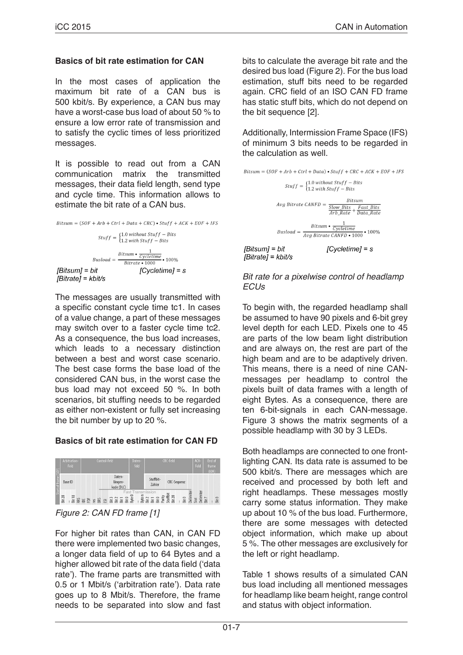## **Basics of bit rate estimation for CAN**

In the most cases of application the maximum bit rate of a CAN bus is 500 kbit/s. By experience, a CAN bus may have a worst-case bus load of about 50 % to ensure a low error rate of transmission and to satisfy the cyclic times of less prioritized messages.

It is possible to read out from a CAN communication matrix the transmitted messages, their data field length, send type and cycle time. This information allows to estimate the bit rate of a CAN bus.



The messages are usually transmitted with a specific constant cycle time tc1. In cases of a value change, a part of these messages may switch over to a faster cycle time tc2. As a consequence, the bus load increases, which leads to a necessary distinction between a best and worst case scenario. The best case forms the base load of the considered CAN bus, in the worst case the bus load may not exceed 50 %. In both scenarios, bit stuffing needs to be regarded as either non-existent or fully set increasing the bit number by up to 20 %.

# **Basics of bit rate estimation for CAN FD**



For higher bit rates than CAN, in CAN FD there were implemented two basic changes, a longer data field of up to 64 Bytes and a higher allowed bit rate of the data field ('data rate'). The frame parts are transmitted with 0.5 or 1 Mbit/s ('arbitration rate'). Data rate goes up to 8 Mbit/s. Therefore, the frame needs to be separated into slow and fast bits to calculate the average bit rate and the desired bus load (Figure 2). For the bus load estimation, stuff bits need to be regarded again. CRC field of an ISO CAN FD frame has static stuff bits, which do not depend on the bit sequence [2].

Additionally, Intermission Frame Space (IFS) of minimum 3 bits needs to be regarded in the calculation as well.



#### *Bit rate for a pixelwise control of headlamp ECUs*

To begin with, the regarded headlamp shall be assumed to have 90 pixels and 6-bit grey level depth for each LED. Pixels one to 45 are parts of the low beam light distribution and are always on, the rest are part of the high beam and are to be adaptively driven. This means, there is a need of nine CANmessages per headlamp to control the pixels built of data frames with a length of eight Bytes. As a consequence, there are ten 6-bit-signals in each CAN-message. Figure 3 shows the matrix segments of a possible headlamp with 30 by 3 LEDs.

Both headlamps are connected to one frontlighting CAN. Its data rate is assumed to be 500 kbit/s. There are messages which are received and processed by both left and right headlamps. These messages mostly carry some status information. They make up about 10 % of the bus load. Furthermore, there are some messages with detected object information, which make up about 5 %. The other messages are exclusively for the left or right headlamp.

Table 1 shows results of a simulated CAN bus load including all mentioned messages for headlamp like beam height, range control and status with object information.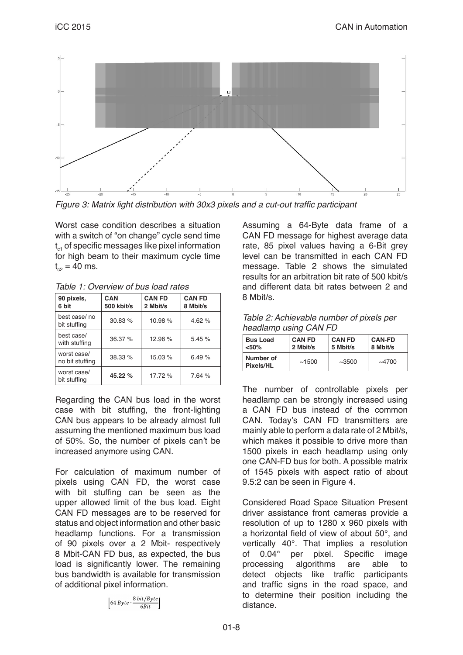

Figure 3: Matrix light distribution with 30x3 pixels and a cut-out traffic participant

Worst case condition describes a situation with a switch of "on change" cycle send time  $t_{c1}$  of specific messages like pixel information for high beam to their maximum cycle time  $t_{c2} = 40$  ms.

*Table 1: Overview of bus load rates*

| 90 pixels,<br>6 bit            | CAN<br>500 kbit/s | <b>CAN FD</b><br>2 Mbit/s | <b>CAN FD</b><br>8 Mbit/s |  |
|--------------------------------|-------------------|---------------------------|---------------------------|--|
| best case/no<br>bit stuffing   | 30.83 %           | 10.98%                    | 4.62 $%$                  |  |
| best case/<br>with stuffing    | 36.37 %           | 12.96%                    | 5.45%                     |  |
| worst case/<br>no bit stuffing | 38.33 %           | 15.03%                    | 6.49%                     |  |
| worst case/<br>bit stuffing    | 45.22 %           | 17.72 %                   | 7.64 %                    |  |

Regarding the CAN bus load in the worst case with bit stuffing, the front-lighting CAN bus appears to be already almost full assuming the mentioned maximum bus load of 50%. So, the number of pixels can't be increased anymore using CAN.

For calculation of maximum number of pixels using CAN FD, the worst case with bit stuffing can be seen as the upper allowed limit of the bus load. Eight CAN FD messages are to be reserved for status and object information and other basic headlamp functions. For a transmission of 90 pixels over a 2 Mbit- respectively 8 Mbit-CAN FD bus, as expected, the bus load is significantly lower. The remaining bus bandwidth is available for transmission of additional pixel information.

$$
\left[64\,Byte \cdot \frac{8\,bit/Byte}{6Bit}\right]
$$

Assuming a 64-Byte data frame of a CAN FD message for highest average data rate, 85 pixel values having a 6-Bit grey level can be transmitted in each CAN FD message. Table 2 shows the simulated results for an arbitration bit rate of 500 kbit/s and different data bit rates between 2 and 8 Mbit/s.

| Table 2: Achievable number of pixels per |
|------------------------------------------|
| headlamp using CAN FD                    |

| <b>Bus Load</b><br>< 50% | <b>CAN FD</b><br>2 Mbit/s | <b>CAN FD</b><br>5 Mbit/s | <b>CAN-FD</b><br>8 Mbit/s |
|--------------------------|---------------------------|---------------------------|---------------------------|
| Number of<br>Pixels/HL   | ~1500                     | ~1.3500                   | $\sim$ 4700               |

The number of controllable pixels per headlamp can be strongly increased using a CAN FD bus instead of the common CAN. Today's CAN FD transmitters are mainly able to perform a data rate of 2 Mbit/s, which makes it possible to drive more than 1500 pixels in each headlamp using only one CAN-FD bus for both. A possible matrix of 1545 pixels with aspect ratio of about 9.5:2 can be seen in Figure 4.

Considered Road Space Situation Present driver assistance front cameras provide a resolution of up to 1280 x 960 pixels with a horizontal field of view of about 50°, and vertically 40°. That implies a resolution of 0.04° per pixel. Specific image processing algorithms are able to detect objects like traffic participants and traffic signs in the road space, and to determine their position including the distance.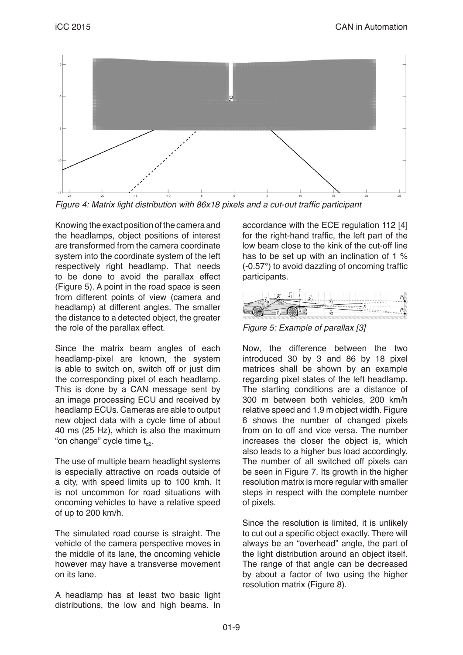

Figure 4: Matrix light distribution with 86x18 pixels and a cut-out traffic participant

Knowing the exact position of the camera and the headlamps, object positions of interest are transformed from the camera coordinate system into the coordinate system of the left respectively right headlamp. That needs to be done to avoid the parallax effect (Figure 5). A point in the road space is seen from different points of view (camera and headlamp) at different angles. The smaller the distance to a detected object, the greater the role of the parallax effect.

Since the matrix beam angles of each headlamp-pixel are known, the system is able to switch on, switch off or just dim the corresponding pixel of each headlamp. This is done by a CAN message sent by an image processing ECU and received by headlamp ECUs. Cameras are able to output new object data with a cycle time of about 40 ms (25 Hz), which is also the maximum "on change" cycle time  $t_{\rm c2}$ .

The use of multiple beam headlight systems is especially attractive on roads outside of a city, with speed limits up to 100 kmh. It is not uncommon for road situations with oncoming vehicles to have a relative speed of up to 200 km/h.

The simulated road course is straight. The vehicle of the camera perspective moves in the middle of its lane, the oncoming vehicle however may have a transverse movement on its lane.

A headlamp has at least two basic light distributions, the low and high beams. In accordance with the ECE regulation 112 [4] for the right-hand traffic, the left part of the low beam close to the kink of the cut-off line has to be set up with an inclination of 1 % (-0.57°) to avoid dazzling of oncoming traffic participants.

*Figure 5: Example of parallax [3]*

Now, the difference between the two introduced 30 by 3 and 86 by 18 pixel matrices shall be shown by an example regarding pixel states of the left headlamp. The starting conditions are a distance of 300 m between both vehicles, 200 km/h relative speed and 1.9 m object width. Figure 6 shows the number of changed pixels from on to off and vice versa. The number increases the closer the object is, which also leads to a higher bus load accordingly. The number of all switched off pixels can be seen in Figure 7. Its growth in the higher resolution matrix is more regular with smaller steps in respect with the complete number of pixels.

Since the resolution is limited, it is unlikely to cut out a specific object exactly. There will always be an "overhead" angle, the part of the light distribution around an object itself. The range of that angle can be decreased by about a factor of two using the higher resolution matrix (Figure 8).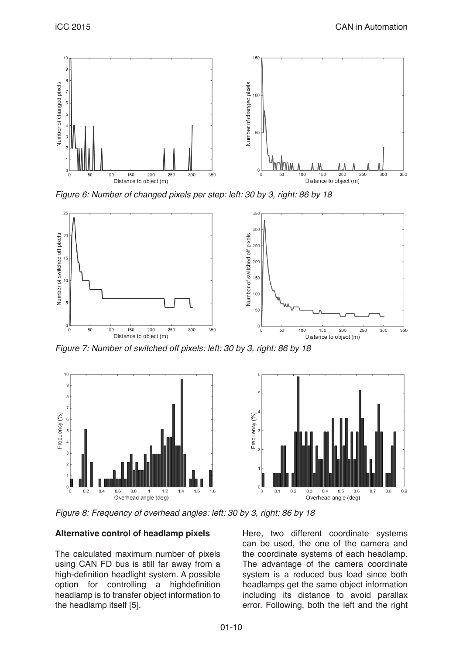

*Figure 6: Number of changed pixels per step: left: 30 by 3, right: 86 by 18*



*Figure 7: Number of switched off pixels: left: 30 by 3, right: 86 by 18*



*Figure 8: Frequency of overhead angles: left: 30 by 3, right: 86 by 18*

## **Alternative control of headlamp pixels**

The calculated maximum number of pixels using CAN FD bus is still far away from a high-definition headlight system. A possible option for controlling a highdefinition headlamp is to transfer object information to the headlamp itself [5].

Here, two different coordinate systems can be used, the one of the camera and the coordinate systems of each headlamp. The advantage of the camera coordinate system is a reduced bus load since both headlamps get the same object information including its distance to avoid parallax error. Following, both the left and the right